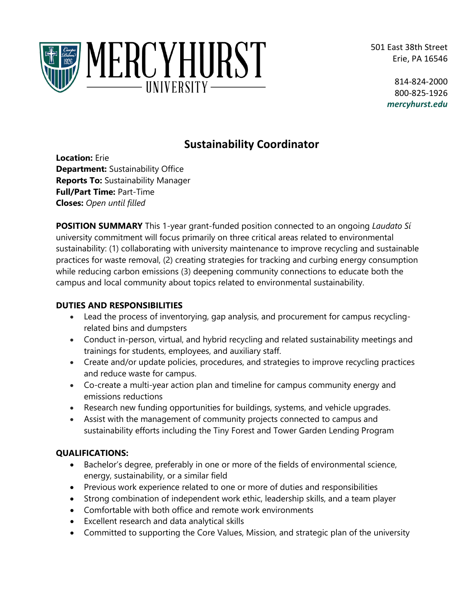501 East 38th Street Erie, PA 16546



814-824-2000 800-825-1926 *mercyhurst.edu*

# **Sustainability Coordinator**

**Location:** Erie **Department:** Sustainability Office **Reports To:** Sustainability Manager **Full/Part Time:** Part-Time **Closes:** *Open until filled*

**POSITION SUMMARY** This 1-year grant-funded position connected to an ongoing *Laudato Sí* university commitment will focus primarily on three critical areas related to environmental sustainability: (1) collaborating with university maintenance to improve recycling and sustainable practices for waste removal, (2) creating strategies for tracking and curbing energy consumption while reducing carbon emissions (3) deepening community connections to educate both the campus and local community about topics related to environmental sustainability.

## **DUTIES AND RESPONSIBILITIES**

- Lead the process of inventorying, gap analysis, and procurement for campus recyclingrelated bins and dumpsters
- Conduct in-person, virtual, and hybrid recycling and related sustainability meetings and trainings for students, employees, and auxiliary staff.
- Create and/or update policies, procedures, and strategies to improve recycling practices and reduce waste for campus.
- Co-create a multi-year action plan and timeline for campus community energy and emissions reductions
- Research new funding opportunities for buildings, systems, and vehicle upgrades.
- Assist with the management of community projects connected to campus and sustainability efforts including the Tiny Forest and Tower Garden Lending Program

# **QUALIFICATIONS:**

- Bachelor's degree, preferably in one or more of the fields of environmental science, energy, sustainability, or a similar field
- Previous work experience related to one or more of duties and responsibilities
- Strong combination of independent work ethic, leadership skills, and a team player
- Comfortable with both office and remote work environments
- Excellent research and data analytical skills
- Committed to supporting the Core Values, Mission, and strategic plan of the university